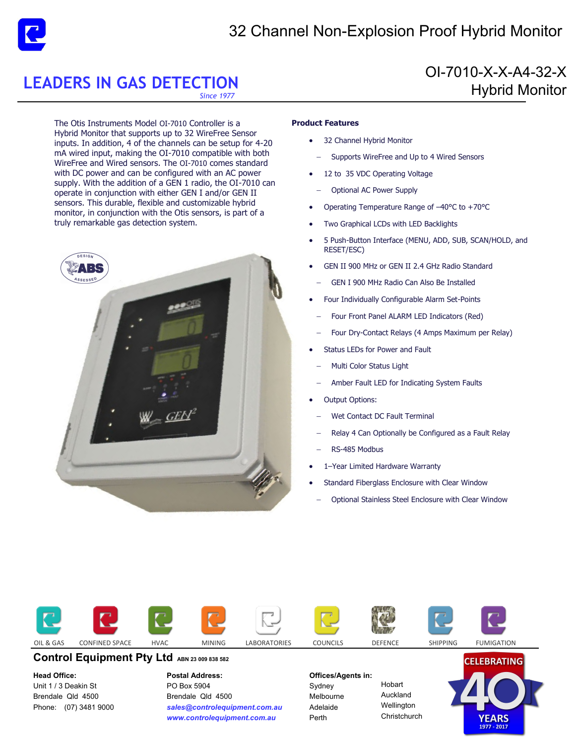

# 32 Channel Non-Explosion Proof Hybrid Monitor

OI-7010-X-X-A4-32-X

Hybrid Monitor

# **LEADERS IN GAS DETECTION**

*Since 1977* 

The Otis Instruments Model OI-7010 Controller is a Hybrid Monitor that supports up to 32 WireFree Sensor inputs. In addition, 4 of the channels can be setup for 4-20 mA wired input, making the OI-7010 compatible with both WireFree and Wired sensors. The OI-7010 comes standard with DC power and can be configured with an AC power supply. With the addition of a GEN 1 radio, the OI-7010 can operate in conjunction with either GEN I and/or GEN II sensors. This durable, flexible and customizable hybrid monitor, in conjunction with the Otis sensors, is part of a truly remarkable gas detection system.



### **Product Features**

- 32 Channel Hybrid Monitor
- Supports WireFree and Up to 4 Wired Sensors
- 12 to 35 VDC Operating Voltage
	- Optional AC Power Supply
- Operating Temperature Range of –40°C to +70°C
- Two Graphical LCDs with LED Backlights
- 5 Push-Button Interface (MENU, ADD, SUB, SCAN/HOLD, and RESET/ESC)
- GEN II 900 MHz or GEN II 2.4 GHz Radio Standard
- GEN I 900 MHz Radio Can Also Be Installed
- Four Individually Configurable Alarm Set-Points
	- Four Front Panel ALARM LED Indicators (Red)
	- Four Dry-Contact Relays (4 Amps Maximum per Relay)
- Status LEDs for Power and Fault
	- Multi Color Status Light
	- Amber Fault LED for Indicating System Faults
- Output Options:
- Wet Contact DC Fault Terminal
- Relay 4 Can Optionally be Configured as a Fault Relay
- RS-485 Modbus
- 1–Year Limited Hardware Warranty
- Standard Fiberglass Enclosure with Clear Window
- Optional Stainless Steel Enclosure with Clear Window



## **Control Equipment Pty Ltd ABN 23 009 838 582**

#### **Head Office:**

Unit 1 / 3 Deakin St Brendale Qld 4500 Phone: (07) 3481 9000 **Postal Address:**  PO Box 5904 Brendale Qld 4500 *sales@controlequipment.com.au www.controlequipment.com.au*

### **Offices/Agents in:**

Sydney Melbourne Adelaide Perth

Hobart Auckland **Wellington Christchurch**